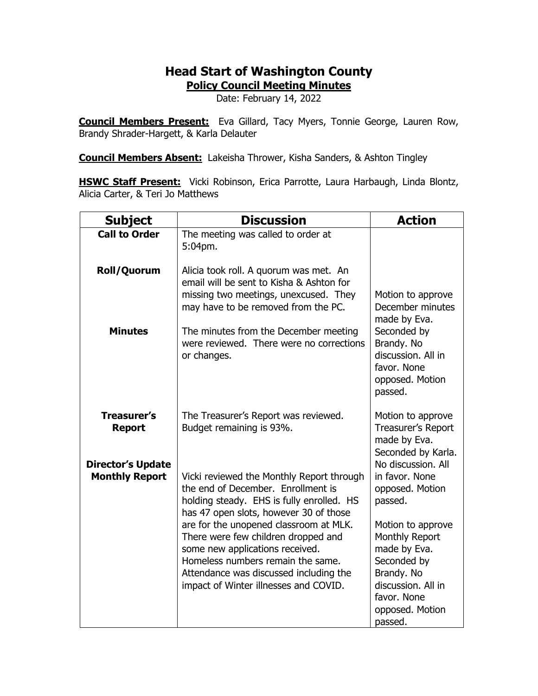## **Head Start of Washington County**

**Policy Council Meeting Minutes**

Date: February 14, 2022

**Council Members Present:** Eva Gillard, Tacy Myers, Tonnie George, Lauren Row, Brandy Shrader-Hargett, & Karla Delauter

**Council Members Absent:** Lakeisha Thrower, Kisha Sanders, & Ashton Tingley

**HSWC Staff Present:** Vicki Robinson, Erica Parrotte, Laura Harbaugh, Linda Blontz, Alicia Carter, & Teri Jo Matthews

| <b>Subject</b>                                                  | <b>Discussion</b>                                                                                                                                                      | <b>Action</b>                                                                                              |
|-----------------------------------------------------------------|------------------------------------------------------------------------------------------------------------------------------------------------------------------------|------------------------------------------------------------------------------------------------------------|
| <b>Call to Order</b>                                            | The meeting was called to order at<br>5:04pm.                                                                                                                          |                                                                                                            |
| Roll/Quorum                                                     | Alicia took roll. A quorum was met. An<br>email will be sent to Kisha & Ashton for<br>missing two meetings, unexcused. They<br>may have to be removed from the PC.     | Motion to approve<br>December minutes<br>made by Eva.                                                      |
| <b>Minutes</b>                                                  | The minutes from the December meeting<br>were reviewed. There were no corrections<br>or changes.                                                                       | Seconded by<br>Brandy. No<br>discussion. All in<br>favor. None<br>opposed. Motion<br>passed.               |
| <b>Treasurer's</b><br><b>Report</b><br><b>Director's Update</b> | The Treasurer's Report was reviewed.<br>Budget remaining is 93%.                                                                                                       | Motion to approve<br><b>Treasurer's Report</b><br>made by Eva.<br>Seconded by Karla.<br>No discussion. All |
| <b>Monthly Report</b>                                           | Vicki reviewed the Monthly Report through<br>the end of December. Enrollment is<br>holding steady. EHS is fully enrolled. HS<br>has 47 open slots, however 30 of those | in favor. None<br>opposed. Motion<br>passed.                                                               |
|                                                                 | are for the unopened classroom at MLK.<br>There were few children dropped and<br>some new applications received.<br>Homeless numbers remain the same.                  | Motion to approve<br>Monthly Report<br>made by Eva.<br>Seconded by                                         |
|                                                                 | Attendance was discussed including the<br>impact of Winter illnesses and COVID.                                                                                        | Brandy. No<br>discussion. All in<br>favor. None<br>opposed. Motion<br>passed.                              |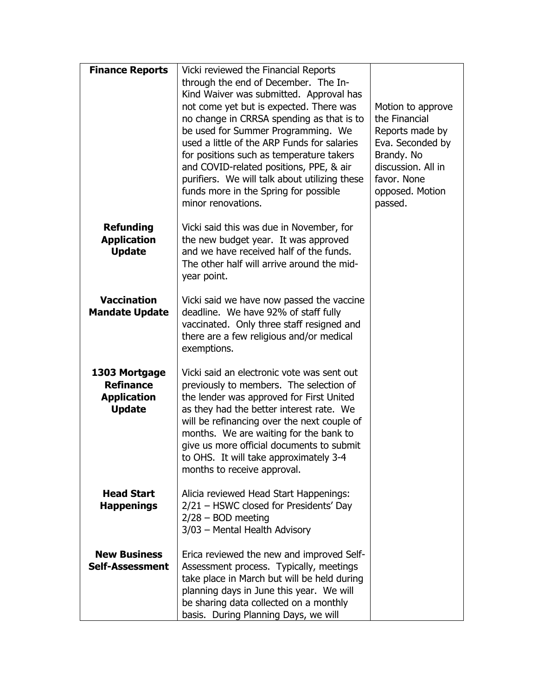| <b>Finance Reports</b>                                                   | Vicki reviewed the Financial Reports<br>through the end of December. The In-<br>Kind Waiver was submitted. Approval has<br>not come yet but is expected. There was<br>no change in CRRSA spending as that is to<br>be used for Summer Programming. We<br>used a little of the ARP Funds for salaries<br>for positions such as temperature takers<br>and COVID-related positions, PPE, & air<br>purifiers. We will talk about utilizing these<br>funds more in the Spring for possible<br>minor renovations. | Motion to approve<br>the Financial<br>Reports made by<br>Eva. Seconded by<br>Brandy. No<br>discussion. All in<br>favor. None<br>opposed. Motion<br>passed. |
|--------------------------------------------------------------------------|-------------------------------------------------------------------------------------------------------------------------------------------------------------------------------------------------------------------------------------------------------------------------------------------------------------------------------------------------------------------------------------------------------------------------------------------------------------------------------------------------------------|------------------------------------------------------------------------------------------------------------------------------------------------------------|
| <b>Refunding</b><br><b>Application</b><br><b>Update</b>                  | Vicki said this was due in November, for<br>the new budget year. It was approved<br>and we have received half of the funds.<br>The other half will arrive around the mid-<br>year point.                                                                                                                                                                                                                                                                                                                    |                                                                                                                                                            |
| <b>Vaccination</b><br><b>Mandate Update</b>                              | Vicki said we have now passed the vaccine<br>deadline. We have 92% of staff fully<br>vaccinated. Only three staff resigned and<br>there are a few religious and/or medical<br>exemptions.                                                                                                                                                                                                                                                                                                                   |                                                                                                                                                            |
| 1303 Mortgage<br><b>Refinance</b><br><b>Application</b><br><b>Update</b> | Vicki said an electronic vote was sent out<br>previously to members. The selection of<br>the lender was approved for First United<br>as they had the better interest rate. We<br>will be refinancing over the next couple of<br>months. We are waiting for the bank to<br>give us more official documents to submit<br>to OHS. It will take approximately 3-4<br>months to receive approval.                                                                                                                |                                                                                                                                                            |
| <b>Head Start</b><br><b>Happenings</b>                                   | Alicia reviewed Head Start Happenings:<br>2/21 - HSWC closed for Presidents' Day<br>$2/28 - BOD$ meeting<br>3/03 - Mental Health Advisory                                                                                                                                                                                                                                                                                                                                                                   |                                                                                                                                                            |
| <b>New Business</b><br>Self-Assessment                                   | Erica reviewed the new and improved Self-<br>Assessment process. Typically, meetings<br>take place in March but will be held during<br>planning days in June this year. We will<br>be sharing data collected on a monthly<br>basis. During Planning Days, we will                                                                                                                                                                                                                                           |                                                                                                                                                            |